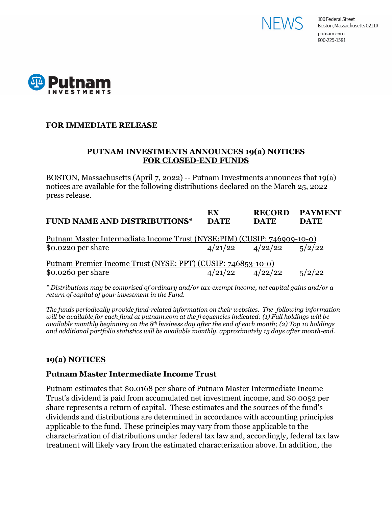



### **FOR IMMEDIATE RELEASE**

### **PUTNAM INVESTMENTS ANNOUNCES 19(a) NOTICES FOR CLOSED-END FUNDS**

BOSTON, Massachusetts (April 7, 2022) -- Putnam Investments announces that 19(a) notices are available for the following distributions declared on the March 25, 2022 press release.

| <b>FUND NAME AND DISTRIBUTIONS*</b>                                     | EX<br><b>DATE</b> | <b>RECORD</b><br><b>DATE</b> | <b>PAYMENT</b><br><b>DATE</b> |
|-------------------------------------------------------------------------|-------------------|------------------------------|-------------------------------|
| Putnam Master Intermediate Income Trust (NYSE:PIM) (CUSIP: 746909-10-0) |                   |                              |                               |
| $$0.0220$ per share                                                     |                   | $4/21/22$ $4/22/22$ $5/2/22$ |                               |
| Putnam Premier Income Trust (NYSE: PPT) (CUSIP: 746853-10-0)            |                   |                              |                               |
| \$0.0260 per share                                                      |                   | $4/21/22$ $4/22/22$          | 5/2/22                        |

*\* Distributions may be comprised of ordinary and/or tax-exempt income, net capital gains and/or a return of capital of your investment in the Fund.*

*The funds periodically provide fund-related information on their websites. The following information will be available for each fund at putnam.com at the frequencies indicated: (1) Full holdings will be available monthly beginning on the 8th business day after the end of each month; (2) Top 10 holdings and additional portfolio statistics will be available monthly, approximately 15 days after month-end.*

### **19(a) NOTICES**

# **Putnam Master Intermediate Income Trust**

Putnam estimates that \$0.0168 per share of Putnam Master Intermediate Income Trust's dividend is paid from accumulated net investment income, and \$0.0052 per share represents a return of capital. These estimates and the sources of the fund's dividends and distributions are determined in accordance with accounting principles applicable to the fund. These principles may vary from those applicable to the characterization of distributions under federal tax law and, accordingly, federal tax law treatment will likely vary from the estimated characterization above. In addition, the